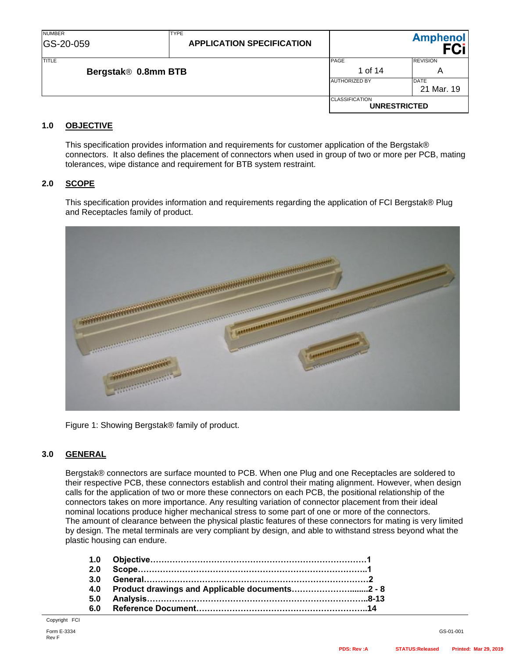| <b>NUMBER</b><br>GS-20-059 | <b>TYPE</b><br><b>APPLICATION SPECIFICATION</b> |                                              | <b>Amphenol</b>           |
|----------------------------|-------------------------------------------------|----------------------------------------------|---------------------------|
| <b>TITLE</b>               |                                                 | PAGE                                         | <b>REVISION</b>           |
| Bergstak® 0.8mm BTB        |                                                 | 1 of 14                                      | A                         |
|                            |                                                 | <b>AUTHORIZED BY</b>                         | <b>DATE</b><br>21 Mar. 19 |
|                            |                                                 | <b>CLASSIFICATION</b><br><b>UNRESTRICTED</b> |                           |

## **1.0 OBJECTIVE**

This specification provides information and requirements for customer application of the Bergstak® connectors. It also defines the placement of connectors when used in group of two or more per PCB, mating tolerances, wipe distance and requirement for BTB system restraint.

### **2.0 SCOPE**

This specification provides information and requirements regarding the application of FCI Bergstak® Plug and Receptacles family of product.



Figure 1: Showing Bergstak® family of product.

### **3.0 GENERAL**

Bergstak® connectors are surface mounted to PCB. When one Plug and one Receptacles are soldered to their respective PCB, these connectors establish and control their mating alignment. However, when design calls for the application of two or more these connectors on each PCB, the positional relationship of the connectors takes on more importance. Any resulting variation of connector placement from their ideal nominal locations produce higher mechanical stress to some part of one or more of the connectors. The amount of clearance between the physical plastic features of these connectors for mating is very limited by design. The metal terminals are very compliant by design, and able to withstand stress beyond what the plastic housing can endure.

| 3.0 |                                                    |  |
|-----|----------------------------------------------------|--|
|     | 4.0 Product drawings and Applicable documents2 - 8 |  |
| 5.0 |                                                    |  |
| 6.0 |                                                    |  |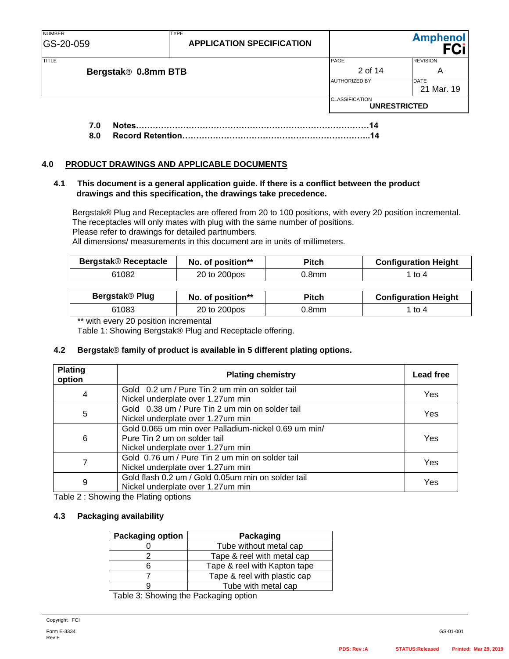| <b>NUMBER</b><br>GS-20-059 | <b>TYPE</b><br><b>APPLICATION SPECIFICATION</b> |                       | <b>Amphenol</b>           |
|----------------------------|-------------------------------------------------|-----------------------|---------------------------|
| <b>TITLE</b>               |                                                 | PAGE                  | <b>REVISION</b>           |
| Bergstak® 0.8mm BTB        |                                                 | 2 of 14               | A                         |
|                            |                                                 | <b>AUTHORIZED BY</b>  | <b>DATE</b><br>21 Mar. 19 |
|                            |                                                 | <b>CLASSIFICATION</b> | <b>UNRESTRICTED</b>       |
| Notes.<br>7.0              |                                                 |                       |                           |

**8.0 Record Retention…………………………………………………………..14**

#### **4.0 PRODUCT DRAWINGS AND APPLICABLE DOCUMENTS**

#### **4.1 This document is a general application guide. If there is a conflict between the product drawings and this specification, the drawings take precedence.**

 Bergstak® Plug and Receptacles are offered from 20 to 100 positions, with every 20 position incremental. The receptacles will only mates with plug with the same number of positions. Please refer to drawings for detailed partnumbers. All dimensions/ measurements in this document are in units of millimeters.

| <b>Bergstak® Receptacle</b> | No. of position** | <b>Pitch</b> | <b>Configuration Height</b> |
|-----------------------------|-------------------|--------------|-----------------------------|
| 61082                       | 20 to 200pos      | J.8mm        | $1$ to 4                    |

| Bergstak® Plug | No. of position** | Pitch | <b>Configuration Height</b> |
|----------------|-------------------|-------|-----------------------------|
| 61083          | 20 to 200pos      | 0.8mm | to 4                        |

\*\* with every 20 position incremental

Table 1: Showing Bergstak® Plug and Receptacle offering.

#### **4.2 Bergstak**® **family of product is available in 5 different plating options.**

| <b>Plating</b><br>option | <b>Plating chemistry</b>                                                                                                  | <b>Lead free</b> |
|--------------------------|---------------------------------------------------------------------------------------------------------------------------|------------------|
| 4                        | Gold 0.2 um / Pure Tin 2 um min on solder tail<br>Nickel underplate over 1.27um min                                       | Yes              |
| 5                        | Gold 0.38 um / Pure Tin 2 um min on solder tail<br>Nickel underplate over 1.27um min                                      | Yes              |
| 6                        | Gold 0.065 um min over Palladium-nickel 0.69 um min/<br>Pure Tin 2 um on solder tail<br>Nickel underplate over 1.27um min | Yes              |
|                          | Gold 0.76 um / Pure Tin 2 um min on solder tail<br>Nickel underplate over 1.27um min                                      | Yes              |
| 9                        | Gold flash 0.2 um / Gold 0.05um min on solder tail<br>Nickel underplate over 1.27um min                                   | Yes              |

Table 2 : Showing the Plating options

#### **4.3 Packaging availability**

| <b>Packaging option</b> | Packaging                    |
|-------------------------|------------------------------|
|                         | Tube without metal cap       |
|                         | Tape & reel with metal cap   |
|                         | Tape & reel with Kapton tape |
|                         | Tape & reel with plastic cap |
|                         | Tube with metal cap          |

Table 3: Showing the Packaging option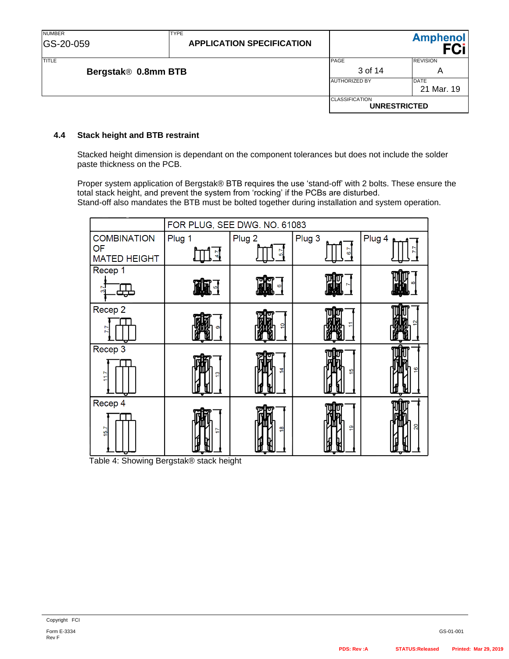| <b>NUMBER</b><br>GS-20-059 | <b>TYPE</b><br><b>APPLICATION SPECIFICATION</b> |                       | <b>Amphenol</b>           |
|----------------------------|-------------------------------------------------|-----------------------|---------------------------|
| <b>TITLE</b>               |                                                 | PAGE<br>3 of 14       | <b>REVISION</b>           |
|                            | Bergstak® 0.8mm BTB                             |                       | Α                         |
|                            |                                                 | <b>AUTHORIZED BY</b>  | <b>DATE</b><br>21 Mar. 19 |
|                            |                                                 | <b>CLASSIFICATION</b> | <b>UNRESTRICTED</b>       |

#### **4.4 Stack height and BTB restraint**

Stacked height dimension is dependant on the component tolerances but does not include the solder paste thickness on the PCB.

Proper system application of Bergstak® BTB requires the use 'stand-off' with 2 bolts. These ensure the total stack height, and prevent the system from 'rocking' if the PCBs are disturbed. Stand-off also mandates the BTB must be bolted together during installation and system operation.

|                           | FOR PLUG, SEE DWG. NO. 61083 |                   |                |                |
|---------------------------|------------------------------|-------------------|----------------|----------------|
| <b>COMBINATION</b>        | Plug 1                       | Plug <sub>2</sub> | Plug 3         | Plug 4 p       |
| OF<br><b>MATED HEIGHT</b> |                              | ທ                 |                |                |
| Recep 1                   |                              |                   |                |                |
| തി                        |                              |                   |                |                |
| Recep 2                   |                              |                   |                |                |
|                           |                              | o                 |                |                |
| Recep 3                   |                              |                   |                |                |
| 11.7<br>σ                 | ო                            | 4                 | ம              | $\overline{6}$ |
| Recep 4                   |                              |                   |                |                |
| 15.7                      |                              | ఇ                 | $\overline{9}$ | $\overline{c}$ |

Table 4: Showing Bergstak® stack height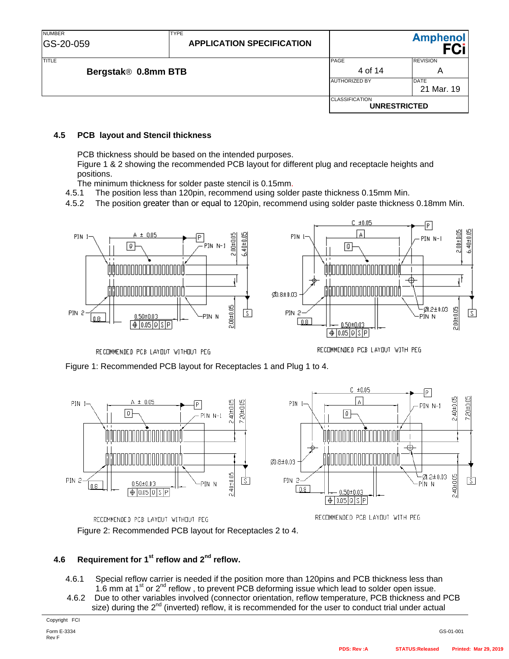| <b>NUMBER</b><br>GS-20-059          | <b>TYPE</b><br><b>APPLICATION SPECIFICATION</b> |                                              | <b>Amphenol</b>           |
|-------------------------------------|-------------------------------------------------|----------------------------------------------|---------------------------|
| <b>TITLE</b><br>Bergstak® 0.8mm BTB |                                                 | PAGE<br>4 of 14                              | <b>REVISION</b><br>A      |
|                                     |                                                 | <b>AUTHORIZED BY</b>                         | <b>DATE</b><br>21 Mar. 19 |
|                                     |                                                 | <b>CLASSIFICATION</b><br><b>UNRESTRICTED</b> |                           |

#### **4.5 PCB layout and Stencil thickness**

PCB thickness should be based on the intended purposes.

Figure 1 & 2 showing the recommended PCB layout for different plug and receptacle heights and positions.

The minimum thickness for solder paste stencil is 0.15mm.

4.5.1 The position less than 120pin, recommend using solder paste thickness 0.15mm Min.

4.5.2 The position greater than or equal to 120pin, recommend using solder paste thickness 0.18mm Min.



RECOMMENDED PCB LAYOUT WITHOUT PEG

RECOMMENDED PCB LAYOUT WITH PEG







RECOMMENDED PCB LAYOUT WITH PEG

Figure 2: Recommended PCB layout for Receptacles 2 to 4.

# **4.6** Requirement for 1<sup>st</sup> reflow and 2<sup>nd</sup> reflow.

- 4.6.1 Special reflow carrier is needed if the position more than 120pins and PCB thickness less than 1.6 mm at  $1<sup>st</sup>$  or  $2<sup>nd</sup>$  reflow, to prevent PCB deforming issue which lead to solder open issue.
- 4.6.2 Due to other variables involved (connector orientation, reflow temperature, PCB thickness and PCB size) during the  $2^{nd}$  (inverted) reflow, it is recommended for the user to conduct trial under actual

Copyright FCI

Form E-3334 Rev F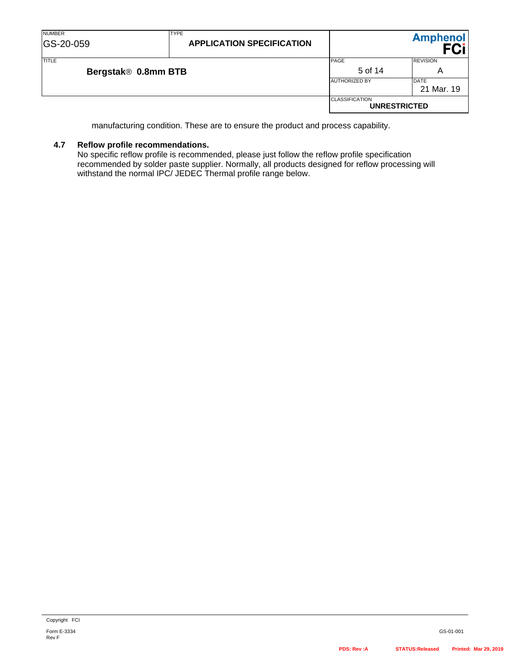| <b>NUMBER</b><br>GS-20-059 | <b>TYPE</b><br><b>APPLICATION SPECIFICATION</b> |                                              | <b>Amphenol</b> |
|----------------------------|-------------------------------------------------|----------------------------------------------|-----------------|
| TITLE                      |                                                 | PAGE                                         | <b>REVISION</b> |
| Bergstak® 0.8mm BTB        |                                                 | 5 of 14                                      | Α               |
|                            |                                                 | <b>AUTHORIZED BY</b>                         | <b>DATE</b>     |
|                            |                                                 |                                              | 21 Mar. 19      |
|                            |                                                 | <b>CLASSIFICATION</b><br><b>UNRESTRICTED</b> |                 |

manufacturing condition. These are to ensure the product and process capability.

# **4.7 Reflow profile recommendations.**

No specific reflow profile is recommended, please just follow the reflow profile specification recommended by solder paste supplier. Normally, all products designed for reflow processing will withstand the normal IPC/ JEDEC Thermal profile range below.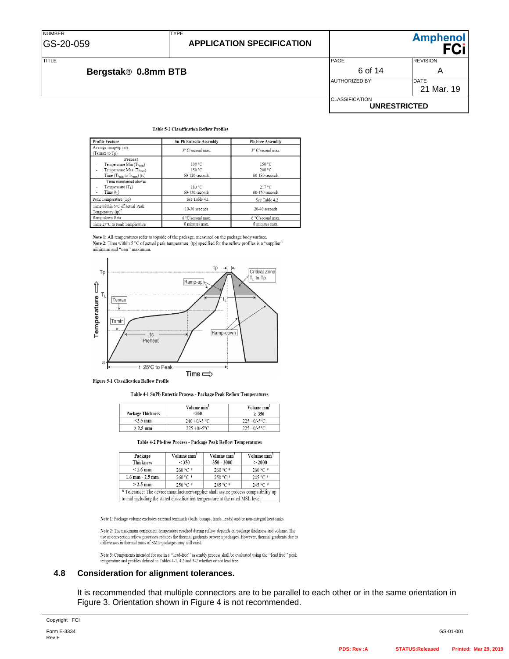## **APPLICATION SPECIFICATION**



**Ampheno** 

#### **Table 5-2 Classification Reflow Profiles**

TYPE

| <b>Profile Feature</b>                                                                                             | <b>Sn-Pb Eutectic Assembly</b>     | <b>Pb-Free Assembly</b>            |
|--------------------------------------------------------------------------------------------------------------------|------------------------------------|------------------------------------|
| Average ramp-up rate<br>(Tsmax to Tp)                                                                              | 3° C/second max.                   | 3° C/second max.                   |
| Preheat<br>Temperature Min (Tsmin)<br>Temperature Max (Ts <sub>max</sub> )<br>Time $(Ts_{min}$ to $Ts_{max})$ (ts) | 100 °C<br>150 °C<br>60-120 seconds | 150 °C<br>200 °C<br>60-180 seconds |
| Time maintained above:<br>Temperature $(TL)$<br>Time(t <sub>I</sub> )                                              | 183 °C<br>$60 - 150$ seconds       | 217 °C<br>$60 - 150$ seconds       |
| Peak Temperature (Tp)                                                                                              | See Table 4.1                      | See Table 4.2                      |
| Time within 5°C of actual Peak<br>Temperature $(tp)^2$                                                             | 10-30 seconds                      | 20-40 seconds                      |
| Ramp-down Rate                                                                                                     | 6 °C/second max.                   | 6 °C/second max.                   |
| Time 25°C to Peak Temperature                                                                                      | 6 minutes max.                     | 8 minutes max.                     |

Note 1: All temperatures refer to topside of the package, measured on the package body surface. Note 2: Time within 5 °C of actual peak temperature (tp) specified for the reflow profiles is a "supplier" minimum and "user" maximum.



Figure 5-1 Classification Reflow Profile

Table 4-1 SnPb Eutectic Process - Package Peak Reflow Temperatures

| <b>Package Thickness</b> | Volume mm <sup>3</sup><br>$<$ 350 | Volume mm <sup>3</sup><br>> 350 |
|--------------------------|-----------------------------------|---------------------------------|
| $<2.5$ mm                | $240 + 0/-5$ °C                   | $225 + 0/-5$ °C                 |
| $\geq 2.5$ mm            | $225 + 0/-5$ °C                   | $225 + 0/-5$ °C                 |

Table 4-2 Pb-free Process - Package Peak Reflow Temperatures

| Package                                                                             | Volume mm <sup>3</sup> | Volume mm <sup>3</sup> | Volume mm <sup>3</sup> |
|-------------------------------------------------------------------------------------|------------------------|------------------------|------------------------|
| <b>Thickness</b>                                                                    | < 350                  | $350 - 2000$           | > 2000                 |
| $< 1.6$ mm                                                                          | $260 °C$ *             | $260 °C$ *             | $260 °C$ *             |
| $1.6$ mm $- 2.5$ mm                                                                 | $260 °C$ *             | $250 °C$ *             | 245 °C                 |
| $>$ 2.5 mm                                                                          | 250 °C *               | $245 °C$ *             | 245 °C                 |
| * Tolerance: The device manufacturer/supplier shall assure process compatibility up |                        |                        |                        |
| to and including the stated classification temperature at the rated MSL level       |                        |                        |                        |

Note 1: Package volume excludes external terminals (balls, bumps, lands, leads) and/or non-integral heat sinks.

Note 2: The maximum component temperature reached during reflow depends on package thickness and volume. The  $\,$ use of convection reflow processes reduces the thermal gradients between packages. However, thermal gradients due to differences in thermal mass of SMD packages may still exist.

Note 3: Components intended for use in a ''lead-free'' assembly process shall be evaluated using the ''lead free'' peak temperature and profiles defined in Tables 4-1, 4.2 and 5-2 whether or not lead free.

#### **4.8 Consideration for alignment tolerances.**

It is recommended that multiple connectors are to be parallel to each other or in the same orientation in Figure 3. Orientation shown in Figure 4 is not recommended.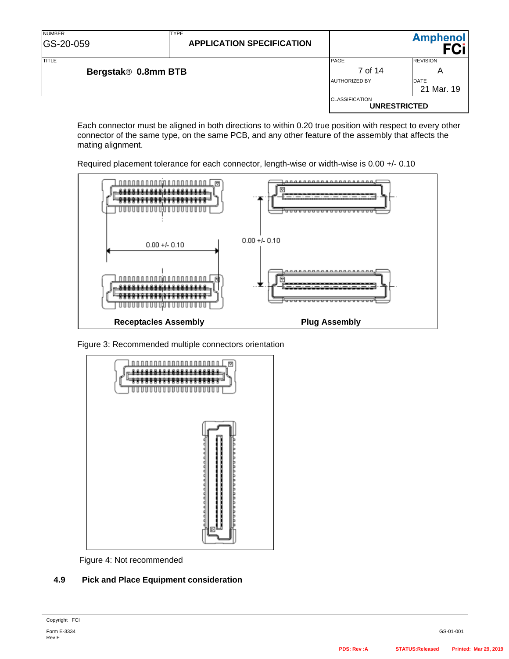| <b>NUMBER</b><br><b>GS-20-059</b>   | <b>TYPE</b><br><b>APPLICATION SPECIFICATION</b> |                                              | <b>Amphenol</b>  |
|-------------------------------------|-------------------------------------------------|----------------------------------------------|------------------|
| <b>TITLE</b><br>Bergstak® 0.8mm BTB |                                                 | PAGE<br>7 of 14                              | <b>REVISION</b>  |
|                                     |                                                 | <b>AUTHORIZED BY</b>                         | A<br><b>DATE</b> |
|                                     |                                                 |                                              | 21 Mar. 19       |
|                                     |                                                 | <b>CLASSIFICATION</b><br><b>UNRESTRICTED</b> |                  |

Each connector must be aligned in both directions to within 0.20 true position with respect to every other connector of the same type, on the same PCB, and any other feature of the assembly that affects the mating alignment.





Figure 3: Recommended multiple connectors orientation



Figure 4: Not recommended

### **4.9 Pick and Place Equipment consideration**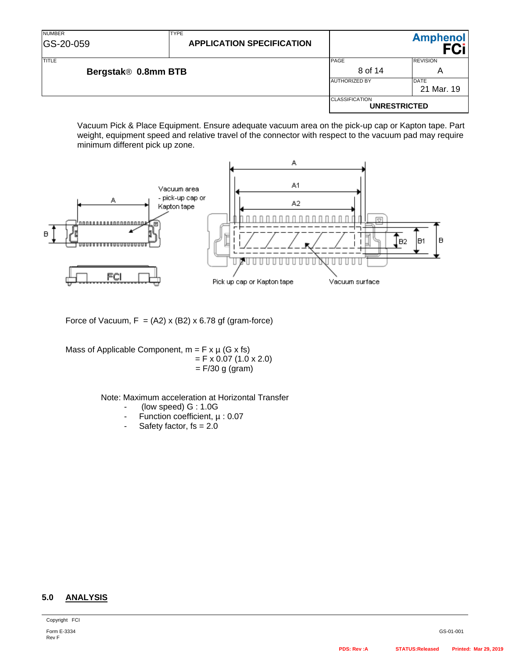| <b>NUMBER</b><br>GS-20-059   | <b>TYPE</b><br><b>APPLICATION SPECIFICATION</b> |                                              | <b>Amphenol</b> |
|------------------------------|-------------------------------------------------|----------------------------------------------|-----------------|
| TITLE<br>Bergstak® 0.8mm BTB |                                                 | PAGE                                         | <b>REVISION</b> |
|                              |                                                 | 8 of 14                                      | A               |
|                              |                                                 | <b>AUTHORIZED BY</b>                         | <b>DATE</b>     |
|                              |                                                 |                                              | 21 Mar. 19      |
|                              |                                                 | <b>CLASSIFICATION</b><br><b>UNRESTRICTED</b> |                 |

Vacuum Pick & Place Equipment. Ensure adequate vacuum area on the pick-up cap or Kapton tape. Part weight, equipment speed and relative travel of the connector with respect to the vacuum pad may require minimum different pick up zone.



Force of Vacuum,  $F = (A2) \times (B2) \times 6.78$  gf (gram-force)

Mass of Applicable Component,  $m = F \times \mu$  (G x fs)  $=$  F x 0.07 (1.0 x 2.0)  $=$  F/30 g (gram)

Note: Maximum acceleration at Horizontal Transfer

- (low speed) G : 1.0G
- Function coefficient, µ : 0.07
- Safety factor,  $fs = 2.0$

### **5.0 ANALYSIS**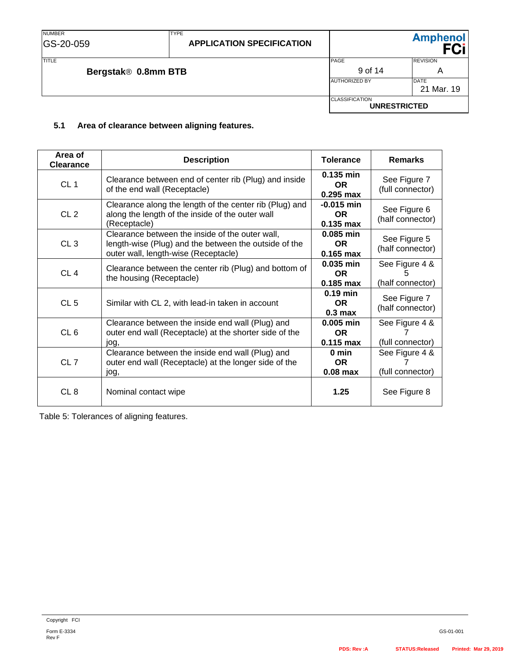TITLE PAGE REVISION **Bergstak® 0.8mm BTB** A AUTHORIZED BY DATE 21 Mar. 19 **CLASSIFICATION UNRESTRICTED**

#### **5.1 Area of clearance between aligning features.**

TYPE

| Area of<br><b>Clearance</b> | <b>Description</b>                                                                                                                               | <b>Tolerance</b>                         | <b>Remarks</b>                          |
|-----------------------------|--------------------------------------------------------------------------------------------------------------------------------------------------|------------------------------------------|-----------------------------------------|
| CL <sub>1</sub>             | Clearance between end of center rib (Plug) and inside<br>of the end wall (Receptacle)                                                            | 0.135 min<br><b>OR</b><br>$0.295$ max    | See Figure 7<br>(full connector)        |
| CL <sub>2</sub>             | Clearance along the length of the center rib (Plug) and<br>along the length of the inside of the outer wall<br>(Receptacle)                      | $-0.015$ min<br><b>OR</b><br>$0.135$ max | See Figure 6<br>(half connector)        |
| CL <sub>3</sub>             | Clearance between the inside of the outer wall,<br>length-wise (Plug) and the between the outside of the<br>outer wall, length-wise (Receptacle) | 0.085 min<br>OR.<br>$0.165$ max          | See Figure 5<br>(half connector)        |
| CL <sub>4</sub>             | Clearance between the center rib (Plug) and bottom of<br>the housing (Receptacle)                                                                | 0.035 min<br><b>OR</b><br>$0.185$ max    | See Figure 4 &<br>5<br>(half connector) |
| CL <sub>5</sub>             | Similar with CL 2, with lead-in taken in account                                                                                                 | $0.19$ min<br>OR.<br>0.3 <sub>max</sub>  | See Figure 7<br>(half connector)        |
| CL <sub>6</sub>             | Clearance between the inside end wall (Plug) and<br>outer end wall (Receptacle) at the shorter side of the<br>jog,                               | 0.005 min<br><b>OR</b><br>$0.115$ max    | See Figure 4 &<br>(full connector)      |
| CL <sub>7</sub>             | Clearance between the inside end wall (Plug) and<br>outer end wall (Receptacle) at the longer side of the<br>jog,                                | 0 min<br><b>OR</b><br>$0.08$ max         | See Figure 4 &<br>(full connector)      |
| CL <sub>8</sub>             | Nominal contact wipe                                                                                                                             | 1.25                                     | See Figure 8                            |

Table 5: Tolerances of aligning features.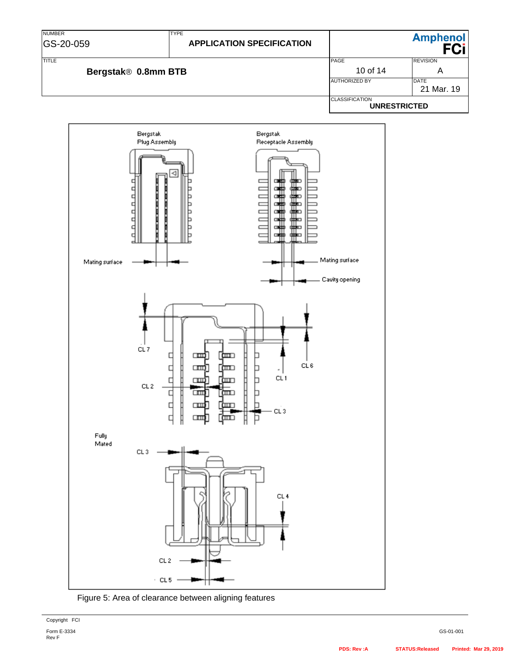# **APPLICATION SPECIFICATION**

**Amphenol FCi** 

TYPE



**UNRESTRICTED**





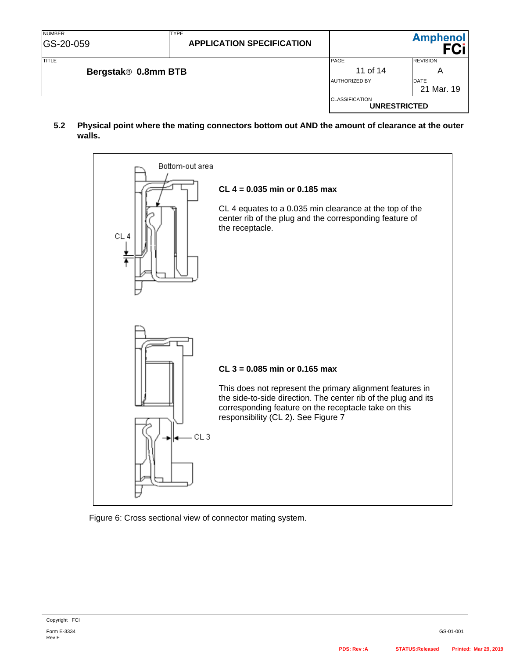**5.2 Physical point where the mating connectors bottom out AND the amount of clearance at the outer walls.**



Figure 6: Cross sectional view of connector mating system.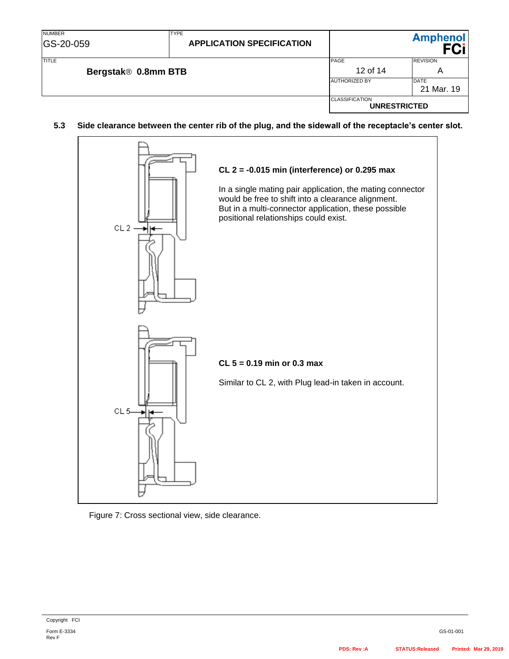| <b>NUMBER</b><br>GS-20-059 | <b>TYPE</b><br><b>APPLICATION SPECIFICATION</b> |                                              | <b>Amphenol</b>           |
|----------------------------|-------------------------------------------------|----------------------------------------------|---------------------------|
| <b>TITLE</b>               |                                                 | PAGE                                         | <b>REVISION</b>           |
| Bergstak® 0.8mm BTB        |                                                 | 12 of 14                                     | Α                         |
|                            |                                                 | <b>AUTHORIZED BY</b>                         | <b>DATE</b><br>21 Mar. 19 |
|                            |                                                 | <b>CLASSIFICATION</b><br><b>UNRESTRICTED</b> |                           |

### **5.3 Side clearance between the center rib of the plug, and the sidewall of the receptacle's center slot.**



#### Figure 7: Cross sectional view, side clearance.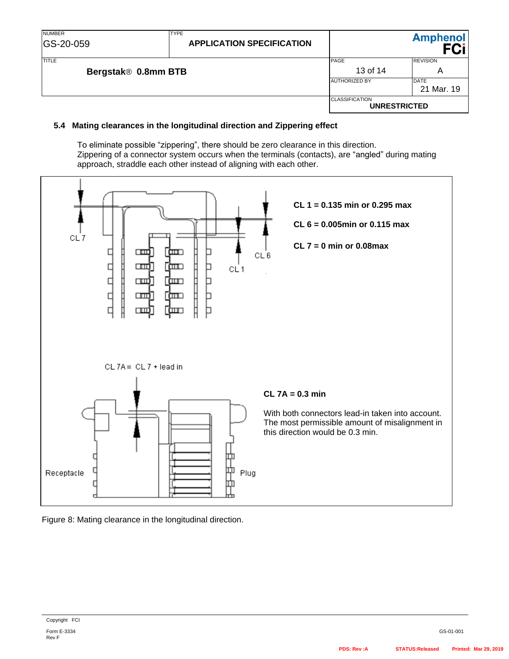### **5.4 Mating clearances in the longitudinal direction and Zippering effect**

To eliminate possible "zippering", there should be zero clearance in this direction. Zippering of a connector system occurs when the terminals (contacts), are "angled" during mating approach, straddle each other instead of aligning with each other.



Figure 8: Mating clearance in the longitudinal direction.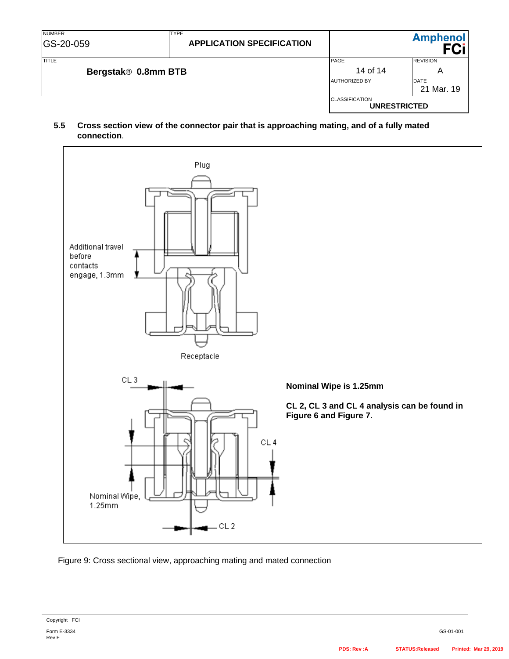**5.5 Cross section view of the connector pair that is approaching mating, and of a fully mated connection**.



Figure 9: Cross sectional view, approaching mating and mated connection